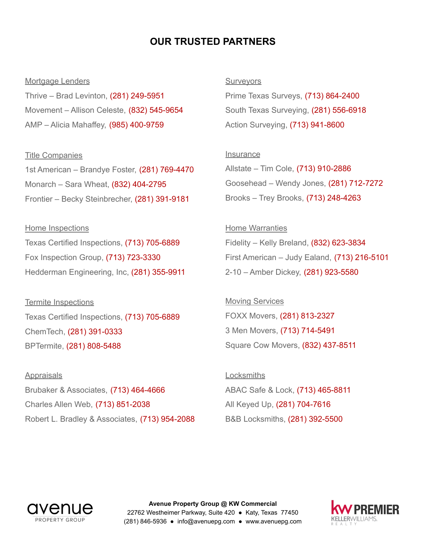## **OUR TRUSTED PARTNERS**

#### Mortgage Lenders

Thrive – Brad Levinton, (281) 249-5951 Movement – Allison Celeste, (832) 545-9654 AMP – Alicia Mahaffey, (985) 400-9759

### Title Companies

1st American – Brandye Foster, (281) 769-4470 Monarch – Sara Wheat, (832) 404-2795 Frontier – Becky Steinbrecher, (281) 391-9181

Home Inspections Texas Certified Inspections, (713) 705-6889 Fox Inspection Group, (713) 723-3330 Hedderman Engineering, Inc, (281) 355-9911

Termite Inspections Texas Certified Inspections, (713) 705-6889 ChemTech, (281) 391-0333 BPTermite, (281) 808-5488

**Appraisals** Brubaker & Associates, (713) 464-4666 Charles Allen Web, (713) 851-2038 Robert L. Bradley & Associates, (713) 954-2088 **Surveyors** 

Prime Texas Surveys, (713) 864-2400 South Texas Surveying, (281) 556-6918 Action Surveying, (713) 941-8600

### **Insurance**

Allstate – Tim Cole, (713) 910-2886 Goosehead – Wendy Jones, (281) 712-7272 Brooks – Trey Brooks, (713) 248-4263

Home Warranties Fidelity – Kelly Breland, (832) 623-3834 First American – Judy Ealand, (713) 216-5101 2-10 – Amber Dickey, (281) 923-5580

Moving Services FOXX Movers, (281) 813-2327 3 Men Movers, (713) 714-5491 Square Cow Movers, (832) 437-8511

**Locksmiths** ABAC Safe & Lock, (713) 465-8811 All Keyed Up, (281) 704-7616 B&B Locksmiths, (281) 392-5500



**Avenue Property Group @ KW Commercial** 22762 Westheimer Parkway, Suite 420 ● Katy, Texas 77450 (281) 846-5936 ● info@avenuepg.com ● www.avenuepg.com

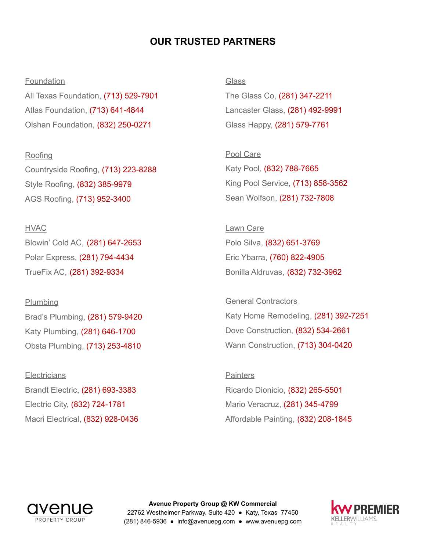# **OUR TRUSTED PARTNERS**

### Foundation

All Texas Foundation, (713) 529-7901 Atlas Foundation, (713) 641-4844 Olshan Foundation, (832) 250-0271

Roofing Countryside Roofing, (713) 223-8288 Style Roofing, (832) 385-9979 AGS Roofing, (713) 952-3400

HVAC Blowin' Cold AC, (281) 647-2653 Polar Express, (281) 794-4434

TrueFix AC, (281) 392-9334

**Plumbing** Brad's Plumbing, (281) 579-9420 Katy Plumbing, (281) 646-1700 Obsta Plumbing, (713) 253-4810

**Electricians** Brandt Electric, (281) 693-3383 Electric City, (832) 724-1781 Macri Electrical, (832) 928-0436 **Glass** 

The Glass Co, (281) 347-2211 Lancaster Glass, (281) 492-9991 Glass Happy, (281) 579-7761

Pool Care Katy Pool, (832) 788-7665 King Pool Service, (713) 858-3562 Sean Wolfson, (281) 732-7808

Lawn Care Polo Silva, (832) 651-3769 Eric Ybarra, (760) 822-4905 Bonilla Aldruvas, (832) 732-3962

General Contractors Katy Home Remodeling, (281) 392-7251 Dove Construction, (832) 534-2661 Wann Construction, (713) 304-0420

**Painters** Ricardo Dionicio, (832) 265-5501 Mario Veracruz, (281) 345-4799 Affordable Painting, (832) 208-1845